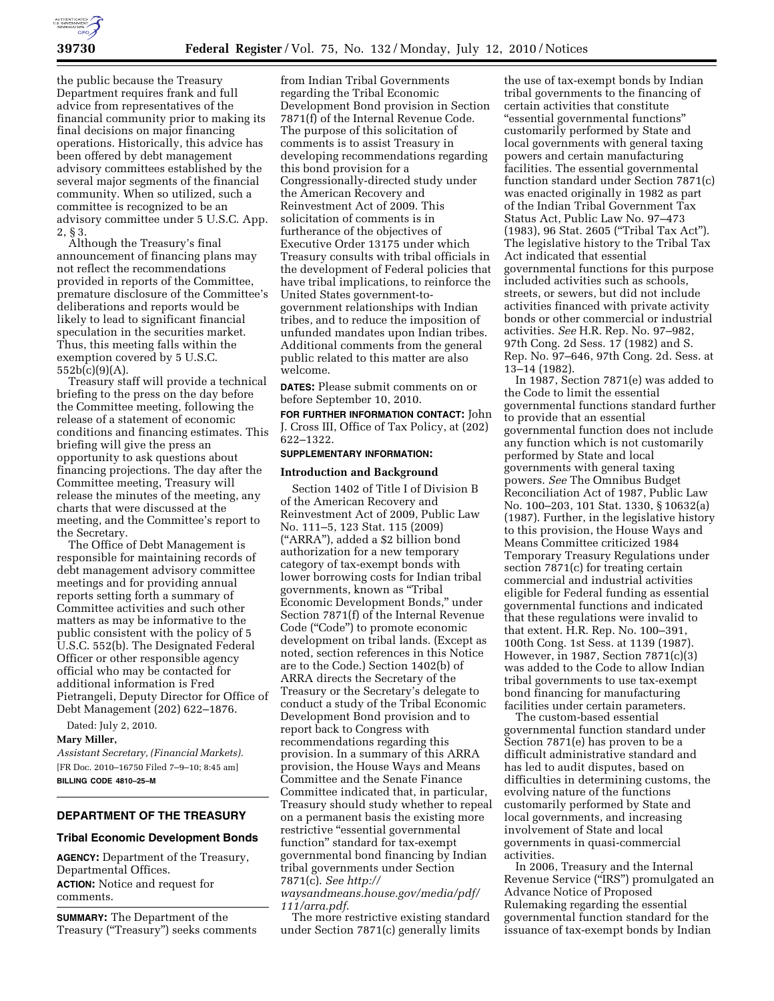

the public because the Treasury Department requires frank and full advice from representatives of the financial community prior to making its final decisions on major financing operations. Historically, this advice has been offered by debt management advisory committees established by the several major segments of the financial community. When so utilized, such a committee is recognized to be an advisory committee under 5 U.S.C. App. 2, § 3.

Although the Treasury's final announcement of financing plans may not reflect the recommendations provided in reports of the Committee, premature disclosure of the Committee's deliberations and reports would be likely to lead to significant financial speculation in the securities market. Thus, this meeting falls within the exemption covered by 5 U.S.C. 552b(c)(9)(A).

Treasury staff will provide a technical briefing to the press on the day before the Committee meeting, following the release of a statement of economic conditions and financing estimates. This briefing will give the press an opportunity to ask questions about financing projections. The day after the Committee meeting, Treasury will release the minutes of the meeting, any charts that were discussed at the meeting, and the Committee's report to the Secretary.

The Office of Debt Management is responsible for maintaining records of debt management advisory committee meetings and for providing annual reports setting forth a summary of Committee activities and such other matters as may be informative to the public consistent with the policy of 5 U.S.C. 552(b). The Designated Federal Officer or other responsible agency official who may be contacted for additional information is Fred Pietrangeli, Deputy Director for Office of Debt Management (202) 622–1876.

Dated: July 2, 2010.

#### **Mary Miller,**

*Assistant Secretary, (Financial Markets).*  [FR Doc. 2010–16750 Filed 7–9–10; 8:45 am] **BILLING CODE 4810–25–M** 

## **DEPARTMENT OF THE TREASURY**

#### **Tribal Economic Development Bonds**

**AGENCY:** Department of the Treasury, Departmental Offices. **ACTION:** Notice and request for comments.

**SUMMARY:** The Department of the Treasury (''Treasury'') seeks comments

from Indian Tribal Governments regarding the Tribal Economic Development Bond provision in Section 7871(f) of the Internal Revenue Code. The purpose of this solicitation of comments is to assist Treasury in developing recommendations regarding this bond provision for a Congressionally-directed study under the American Recovery and Reinvestment Act of 2009. This solicitation of comments is in furtherance of the objectives of Executive Order 13175 under which Treasury consults with tribal officials in the development of Federal policies that have tribal implications, to reinforce the United States government-togovernment relationships with Indian tribes, and to reduce the imposition of unfunded mandates upon Indian tribes. Additional comments from the general public related to this matter are also welcome.

**DATES:** Please submit comments on or before September 10, 2010.

**FOR FURTHER INFORMATION CONTACT:** John J. Cross III, Office of Tax Policy, at (202) 622–1322.

### **SUPPLEMENTARY INFORMATION:**

#### **Introduction and Background**

Section 1402 of Title I of Division B of the American Recovery and Reinvestment Act of 2009, Public Law No. 111–5, 123 Stat. 115 (2009) (''ARRA''), added a \$2 billion bond authorization for a new temporary category of tax-exempt bonds with lower borrowing costs for Indian tribal governments, known as ''Tribal Economic Development Bonds,'' under Section 7871(f) of the Internal Revenue Code (''Code'') to promote economic development on tribal lands. (Except as noted, section references in this Notice are to the Code.) Section 1402(b) of ARRA directs the Secretary of the Treasury or the Secretary's delegate to conduct a study of the Tribal Economic Development Bond provision and to report back to Congress with recommendations regarding this provision. In a summary of this ARRA provision, the House Ways and Means Committee and the Senate Finance Committee indicated that, in particular, Treasury should study whether to repeal on a permanent basis the existing more restrictive "essential governmental function'' standard for tax-exempt governmental bond financing by Indian tribal governments under Section 7871(c). *See http://* 

*waysandmeans.house.gov/media/pdf/ 111/arra.pdf*.

The more restrictive existing standard under Section 7871(c) generally limits

the use of tax-exempt bonds by Indian tribal governments to the financing of certain activities that constitute ''essential governmental functions'' customarily performed by State and local governments with general taxing powers and certain manufacturing facilities. The essential governmental function standard under Section 7871(c) was enacted originally in 1982 as part of the Indian Tribal Government Tax Status Act, Public Law No. 97–473 (1983), 96 Stat. 2605 (''Tribal Tax Act''). The legislative history to the Tribal Tax Act indicated that essential governmental functions for this purpose included activities such as schools, streets, or sewers, but did not include activities financed with private activity bonds or other commercial or industrial activities. *See* H.R. Rep. No. 97–982, 97th Cong. 2d Sess. 17 (1982) and S. Rep. No. 97–646, 97th Cong. 2d. Sess. at 13–14 (1982).

In 1987, Section 7871(e) was added to the Code to limit the essential governmental functions standard further to provide that an essential governmental function does not include any function which is not customarily performed by State and local governments with general taxing powers. *See* The Omnibus Budget Reconciliation Act of 1987, Public Law No. 100–203, 101 Stat. 1330, § 10632(a) (1987). Further, in the legislative history to this provision, the House Ways and Means Committee criticized 1984 Temporary Treasury Regulations under section 7871(c) for treating certain commercial and industrial activities eligible for Federal funding as essential governmental functions and indicated that these regulations were invalid to that extent. H.R. Rep. No. 100–391, 100th Cong. 1st Sess. at 1139 (1987). However, in 1987, Section 7871(c)(3) was added to the Code to allow Indian tribal governments to use tax-exempt bond financing for manufacturing facilities under certain parameters.

The custom-based essential governmental function standard under Section 7871(e) has proven to be a difficult administrative standard and has led to audit disputes, based on difficulties in determining customs, the evolving nature of the functions customarily performed by State and local governments, and increasing involvement of State and local governments in quasi-commercial activities.

In 2006, Treasury and the Internal Revenue Service (''IRS'') promulgated an Advance Notice of Proposed Rulemaking regarding the essential governmental function standard for the issuance of tax-exempt bonds by Indian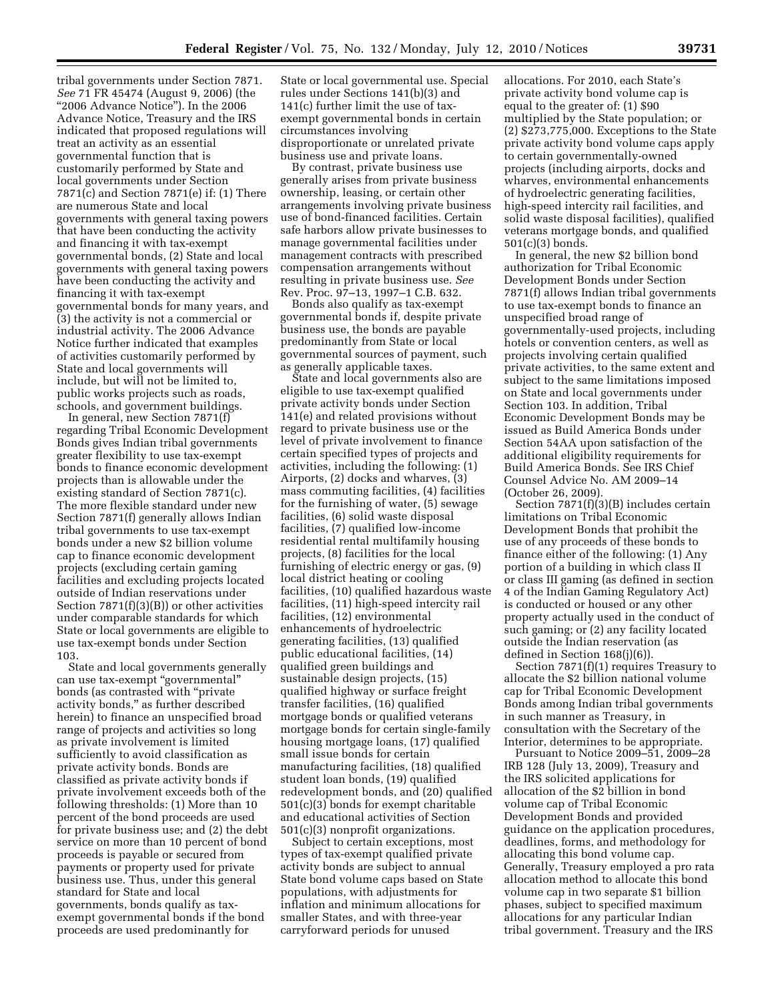tribal governments under Section 7871. *See* 71 FR 45474 (August 9, 2006) (the ''2006 Advance Notice''). In the 2006 Advance Notice, Treasury and the IRS indicated that proposed regulations will treat an activity as an essential governmental function that is customarily performed by State and local governments under Section 7871(c) and Section 7871(e) if: (1) There are numerous State and local governments with general taxing powers that have been conducting the activity and financing it with tax-exempt governmental bonds, (2) State and local governments with general taxing powers have been conducting the activity and financing it with tax-exempt governmental bonds for many years, and (3) the activity is not a commercial or industrial activity. The 2006 Advance Notice further indicated that examples of activities customarily performed by State and local governments will include, but will not be limited to, public works projects such as roads, schools, and government buildings.

In general, new Section 7871(f) regarding Tribal Economic Development Bonds gives Indian tribal governments greater flexibility to use tax-exempt bonds to finance economic development projects than is allowable under the existing standard of Section 7871(c). The more flexible standard under new Section 7871(f) generally allows Indian tribal governments to use tax-exempt bonds under a new \$2 billion volume cap to finance economic development projects (excluding certain gaming facilities and excluding projects located outside of Indian reservations under Section 7871(f)(3)(B)) or other activities under comparable standards for which State or local governments are eligible to use tax-exempt bonds under Section 103.

State and local governments generally can use tax-exempt "governmental" bonds (as contrasted with ''private activity bonds,'' as further described herein) to finance an unspecified broad range of projects and activities so long as private involvement is limited sufficiently to avoid classification as private activity bonds. Bonds are classified as private activity bonds if private involvement exceeds both of the following thresholds: (1) More than 10 percent of the bond proceeds are used for private business use; and (2) the debt service on more than 10 percent of bond proceeds is payable or secured from payments or property used for private business use. Thus, under this general standard for State and local governments, bonds qualify as taxexempt governmental bonds if the bond proceeds are used predominantly for

State or local governmental use. Special rules under Sections 141(b)(3) and 141(c) further limit the use of taxexempt governmental bonds in certain circumstances involving disproportionate or unrelated private business use and private loans.

By contrast, private business use generally arises from private business ownership, leasing, or certain other arrangements involving private business use of bond-financed facilities. Certain safe harbors allow private businesses to manage governmental facilities under management contracts with prescribed compensation arrangements without resulting in private business use. *See*  Rev. Proc. 97–13, 1997–1 C.B. 632.

Bonds also qualify as tax-exempt governmental bonds if, despite private business use, the bonds are payable predominantly from State or local governmental sources of payment, such as generally applicable taxes.

State and local governments also are eligible to use tax-exempt qualified private activity bonds under Section 141(e) and related provisions without regard to private business use or the level of private involvement to finance certain specified types of projects and activities, including the following: (1) Airports, (2) docks and wharves, (3) mass commuting facilities, (4) facilities for the furnishing of water, (5) sewage facilities, (6) solid waste disposal facilities, (7) qualified low-income residential rental multifamily housing projects, (8) facilities for the local furnishing of electric energy or gas, (9) local district heating or cooling facilities, (10) qualified hazardous waste facilities, (11) high-speed intercity rail facilities, (12) environmental enhancements of hydroelectric generating facilities, (13) qualified public educational facilities, (14) qualified green buildings and sustainable design projects, (15) qualified highway or surface freight transfer facilities, (16) qualified mortgage bonds or qualified veterans mortgage bonds for certain single-family housing mortgage loans, (17) qualified small issue bonds for certain manufacturing facilities, (18) qualified student loan bonds, (19) qualified redevelopment bonds, and (20) qualified 501(c)(3) bonds for exempt charitable and educational activities of Section 501(c)(3) nonprofit organizations.

Subject to certain exceptions, most types of tax-exempt qualified private activity bonds are subject to annual State bond volume caps based on State populations, with adjustments for inflation and minimum allocations for smaller States, and with three-year carryforward periods for unused

allocations. For 2010, each State's private activity bond volume cap is equal to the greater of: (1) \$90 multiplied by the State population; or (2) \$273,775,000. Exceptions to the State private activity bond volume caps apply to certain governmentally-owned projects (including airports, docks and wharves, environmental enhancements of hydroelectric generating facilities, high-speed intercity rail facilities, and solid waste disposal facilities), qualified veterans mortgage bonds, and qualified 501(c)(3) bonds.

In general, the new \$2 billion bond authorization for Tribal Economic Development Bonds under Section 7871(f) allows Indian tribal governments to use tax-exempt bonds to finance an unspecified broad range of governmentally-used projects, including hotels or convention centers, as well as projects involving certain qualified private activities, to the same extent and subject to the same limitations imposed on State and local governments under Section 103. In addition, Tribal Economic Development Bonds may be issued as Build America Bonds under Section 54AA upon satisfaction of the additional eligibility requirements for Build America Bonds. See IRS Chief Counsel Advice No. AM 2009–14 (October 26, 2009).

Section 7871(f)(3)(B) includes certain limitations on Tribal Economic Development Bonds that prohibit the use of any proceeds of these bonds to finance either of the following: (1) Any portion of a building in which class II or class III gaming (as defined in section 4 of the Indian Gaming Regulatory Act) is conducted or housed or any other property actually used in the conduct of such gaming; or (2) any facility located outside the Indian reservation (as defined in Section 168(j)(6)).

Section 7871(f)(1) requires Treasury to allocate the \$2 billion national volume cap for Tribal Economic Development Bonds among Indian tribal governments in such manner as Treasury, in consultation with the Secretary of the Interior, determines to be appropriate.

Pursuant to Notice 2009–51, 2009–28 IRB 128 (July 13, 2009), Treasury and the IRS solicited applications for allocation of the \$2 billion in bond volume cap of Tribal Economic Development Bonds and provided guidance on the application procedures, deadlines, forms, and methodology for allocating this bond volume cap. Generally, Treasury employed a pro rata allocation method to allocate this bond volume cap in two separate \$1 billion phases, subject to specified maximum allocations for any particular Indian tribal government. Treasury and the IRS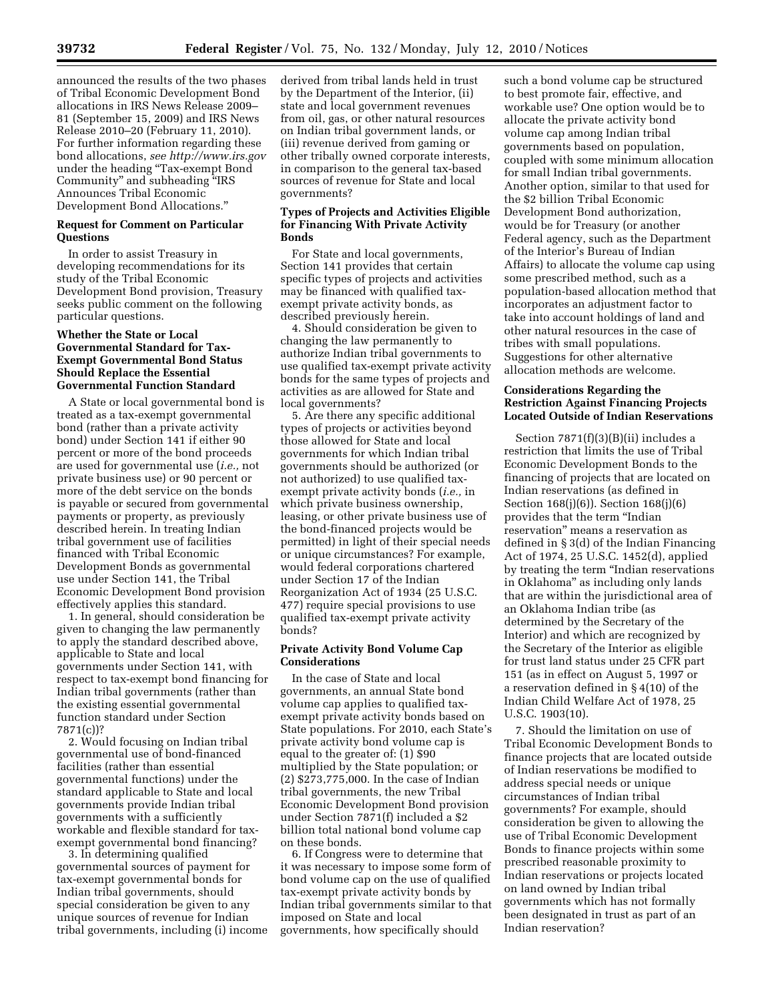announced the results of the two phases of Tribal Economic Development Bond allocations in IRS News Release 2009– 81 (September 15, 2009) and IRS News Release 2010–20 (February 11, 2010). For further information regarding these bond allocations, *see http://www.irs.gov*  under the heading "Tax-exempt Bond Community'' and subheading ''IRS Announces Tribal Economic Development Bond Allocations.''

### **Request for Comment on Particular Questions**

In order to assist Treasury in developing recommendations for its study of the Tribal Economic Development Bond provision, Treasury seeks public comment on the following particular questions.

## **Whether the State or Local Governmental Standard for Tax-Exempt Governmental Bond Status Should Replace the Essential Governmental Function Standard**

A State or local governmental bond is treated as a tax-exempt governmental bond (rather than a private activity bond) under Section 141 if either 90 percent or more of the bond proceeds are used for governmental use (*i.e.,* not private business use) or 90 percent or more of the debt service on the bonds is payable or secured from governmental payments or property, as previously described herein. In treating Indian tribal government use of facilities financed with Tribal Economic Development Bonds as governmental use under Section 141, the Tribal Economic Development Bond provision effectively applies this standard.

1. In general, should consideration be given to changing the law permanently to apply the standard described above, applicable to State and local governments under Section 141, with respect to tax-exempt bond financing for Indian tribal governments (rather than the existing essential governmental function standard under Section 7871(c))?

2. Would focusing on Indian tribal governmental use of bond-financed facilities (rather than essential governmental functions) under the standard applicable to State and local governments provide Indian tribal governments with a sufficiently workable and flexible standard for taxexempt governmental bond financing?

3. In determining qualified governmental sources of payment for tax-exempt governmental bonds for Indian tribal governments, should special consideration be given to any unique sources of revenue for Indian tribal governments, including (i) income derived from tribal lands held in trust by the Department of the Interior, (ii) state and local government revenues from oil, gas, or other natural resources on Indian tribal government lands, or (iii) revenue derived from gaming or other tribally owned corporate interests, in comparison to the general tax-based sources of revenue for State and local governments?

### **Types of Projects and Activities Eligible for Financing With Private Activity Bonds**

For State and local governments, Section 141 provides that certain specific types of projects and activities may be financed with qualified taxexempt private activity bonds, as described previously herein.

4. Should consideration be given to changing the law permanently to authorize Indian tribal governments to use qualified tax-exempt private activity bonds for the same types of projects and activities as are allowed for State and local governments?

5. Are there any specific additional types of projects or activities beyond those allowed for State and local governments for which Indian tribal governments should be authorized (or not authorized) to use qualified taxexempt private activity bonds (*i.e.,* in which private business ownership, leasing, or other private business use of the bond-financed projects would be permitted) in light of their special needs or unique circumstances? For example, would federal corporations chartered under Section 17 of the Indian Reorganization Act of 1934 (25 U.S.C. 477) require special provisions to use qualified tax-exempt private activity bonds?

### **Private Activity Bond Volume Cap Considerations**

In the case of State and local governments, an annual State bond volume cap applies to qualified taxexempt private activity bonds based on State populations. For 2010, each State's private activity bond volume cap is equal to the greater of: (1) \$90 multiplied by the State population; or (2) \$273,775,000. In the case of Indian tribal governments, the new Tribal Economic Development Bond provision under Section 7871(f) included a \$2 billion total national bond volume cap on these bonds.

6. If Congress were to determine that it was necessary to impose some form of bond volume cap on the use of qualified tax-exempt private activity bonds by Indian tribal governments similar to that imposed on State and local governments, how specifically should

such a bond volume cap be structured to best promote fair, effective, and workable use? One option would be to allocate the private activity bond volume cap among Indian tribal governments based on population, coupled with some minimum allocation for small Indian tribal governments. Another option, similar to that used for the \$2 billion Tribal Economic Development Bond authorization, would be for Treasury (or another Federal agency, such as the Department of the Interior's Bureau of Indian Affairs) to allocate the volume cap using some prescribed method, such as a population-based allocation method that incorporates an adjustment factor to take into account holdings of land and other natural resources in the case of tribes with small populations. Suggestions for other alternative allocation methods are welcome.

## **Considerations Regarding the Restriction Against Financing Projects Located Outside of Indian Reservations**

Section 7871(f)(3)(B)(ii) includes a restriction that limits the use of Tribal Economic Development Bonds to the financing of projects that are located on Indian reservations (as defined in Section 168(j)(6)). Section 168(j)(6) provides that the term ''Indian reservation'' means a reservation as defined in § 3(d) of the Indian Financing Act of 1974, 25 U.S.C. 1452(d), applied by treating the term ''Indian reservations in Oklahoma'' as including only lands that are within the jurisdictional area of an Oklahoma Indian tribe (as determined by the Secretary of the Interior) and which are recognized by the Secretary of the Interior as eligible for trust land status under 25 CFR part 151 (as in effect on August 5, 1997 or a reservation defined in § 4(10) of the Indian Child Welfare Act of 1978, 25 U.S.C. 1903(10).

7. Should the limitation on use of Tribal Economic Development Bonds to finance projects that are located outside of Indian reservations be modified to address special needs or unique circumstances of Indian tribal governments? For example, should consideration be given to allowing the use of Tribal Economic Development Bonds to finance projects within some prescribed reasonable proximity to Indian reservations or projects located on land owned by Indian tribal governments which has not formally been designated in trust as part of an Indian reservation?